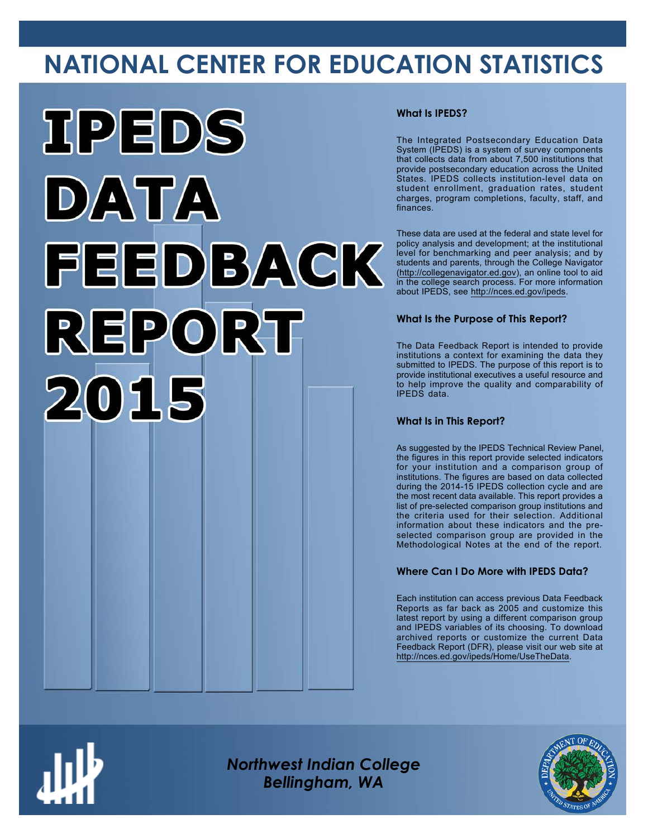# **NATIONAL CENTER FOR EDUCATION STATISTICS**



# **What Is IPEDS?**

The Integrated Postsecondary Education Data System (IPEDS) is a system of survey components that collects data from about 7,500 institutions that provide postsecondary education across the United States. IPEDS collects institution-level data on student enrollment, graduation rates, student charges, program completions, faculty, staff, and finances.

These data are used at the federal and state level for policy analysis and development; at the institutional level for benchmarking and peer analysis; and by students and parents, through the College Navigator ([http://collegenavigator.ed.gov\)](http://collegenavigator.ed.gov), an online tool to aid in the college search process. For more information about IPEDS, see [http://nces.ed.gov/ipeds.](http://nces.ed.gov/ipeds)

# **What Is the Purpose of This Report?**

The Data Feedback Report is intended to provide institutions a context for examining the data they submitted to IPEDS. The purpose of this report is to provide institutional executives a useful resource and to help improve the quality and comparability of IPEDS data.

# **What Is in This Report?**

As suggested by the IPEDS Technical Review Panel, the figures in this report provide selected indicators for your institution and a comparison group of institutions. The figures are based on data collected during the 2014-15 IPEDS collection cycle and are the most recent data available. This report provides a list of pre-selected comparison group institutions and the criteria used for their selection. Additional information about these indicators and the preselected comparison group are provided in the Methodological Notes at the end of the report.

# **Where Can I Do More with IPEDS Data?**

Each institution can access previous Data Feedback Reports as far back as 2005 and customize this latest report by using a different comparison group and IPEDS variables of its choosing. To download archived reports or customize the current Data Feedback Report (DFR), please visit our web site at [http://nces.ed.gov/ipeds/Home/UseTheData.](http://nces.ed.gov/ipeds/Home/UseTheData)



*Northwest Indian College Bellingham, WA*

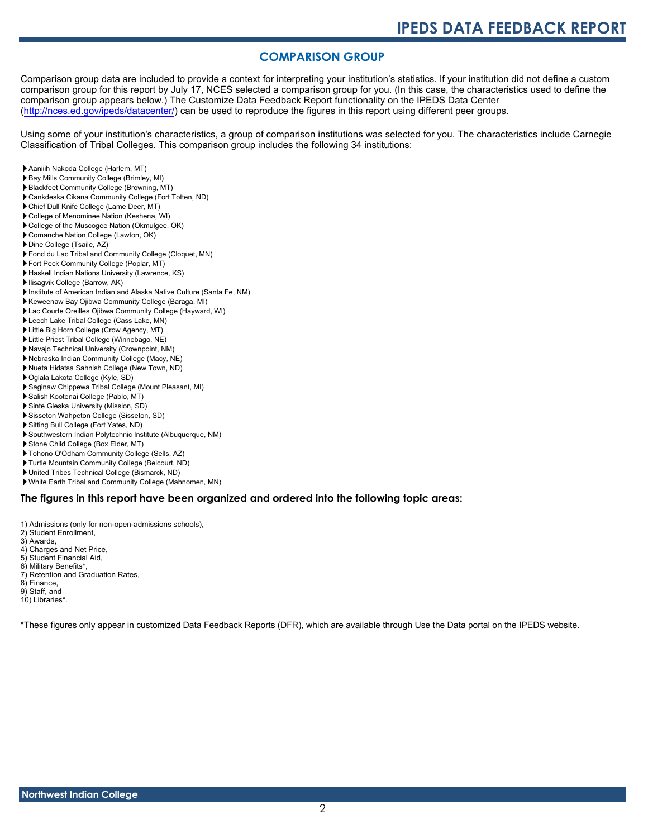# **COMPARISON GROUP**

Comparison group data are included to provide a context for interpreting your institution's statistics. If your institution did not define a custom comparison group for this report by July 17, NCES selected a comparison group for you. (In this case, the characteristics used to define the comparison group appears below.) The Customize Data Feedback Report functionality on the IPEDS Data Center [\(http://nces.ed.gov/ipeds/datacenter/\)](http://nces.ed.gov/ipeds/datacenter/) can be used to reproduce the figures in this report using different peer groups.

Using some of your institution's characteristics, a group of comparison institutions was selected for you. The characteristics include Carnegie Classification of Tribal Colleges. This comparison group includes the following 34 institutions:

- Aaniiih Nakoda College (Harlem, MT)
- Bay Mills Community College (Brimley, MI)
- Blackfeet Community College (Browning, MT)
- Cankdeska Cikana Community College (Fort Totten, ND)
- Chief Dull Knife College (Lame Deer, MT)
- College of Menominee Nation (Keshena, WI)
- College of the Muscogee Nation (Okmulgee, OK)
- Comanche Nation College (Lawton, OK)
- Dine College (Tsaile, AZ)
- Fond du Lac Tribal and Community College (Cloquet, MN)
- Fort Peck Community College (Poplar, MT)
- Haskell Indian Nations University (Lawrence, KS)
- **Ilisagvik College (Barrow, AK)**
- Institute of American Indian and Alaska Native Culture (Santa Fe, NM)
- Keweenaw Bay Ojibwa Community College (Baraga, MI)
- Lac Courte Oreilles Ojibwa Community College (Hayward, WI)
- Leech Lake Tribal College (Cass Lake, MN)
- Little Big Horn College (Crow Agency, MT)
- Little Priest Tribal College (Winnebago, NE)
- Navajo Technical University (Crownpoint, NM)
- Nebraska Indian Community College (Macy, NE)
- Nueta Hidatsa Sahnish College (New Town, ND)
- Oglala Lakota College (Kyle, SD)
- Saginaw Chippewa Tribal College (Mount Pleasant, MI)
- Salish Kootenai College (Pablo, MT)
- Sinte Gleska University (Mission, SD)
- Sisseton Wahpeton College (Sisseton, SD)
- Sitting Bull College (Fort Yates, ND)
- Southwestern Indian Polytechnic Institute (Albuquerque, NM)
- Stone Child College (Box Elder, MT)
- Tohono O'Odham Community College (Sells, AZ)
- Turtle Mountain Community College (Belcourt, ND)
- United Tribes Technical College (Bismarck, ND)
- White Earth Tribal and Community College (Mahnomen, MN)

# **The figures in this report have been organized and ordered into the following topic areas:**

- 1) Admissions (only for non-open-admissions schools),
- 2) Student Enrollment,
- 3) Awards,
- 4) Charges and Net Price,
- 5) Student Financial Aid,
- 6) Military Benefits\*,
- 7) Retention and Graduation Rates,
- 8) Finance,
- 9) Staff, and
- 10) Libraries\*.

\*These figures only appear in customized Data Feedback Reports (DFR), which are available through Use the Data portal on the IPEDS website.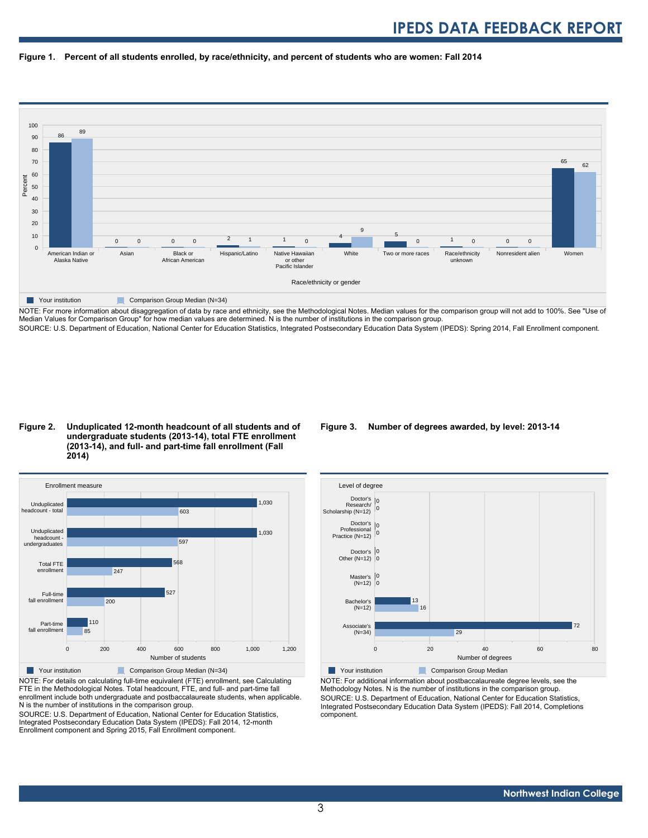



NOTE: For more information about disaggregation of data by race and ethnicity, see the Methodological Notes. Median values for the comparison group will not add to 100%. See "Use of Median Values for Comparison Group" for how median values are determined. N is the number of institutions in the comparison group. SOURCE: U.S. Department of Education, National Center for Education Statistics, Integrated Postsecondary Education Data System (IPEDS): Spring 2014, Fall Enrollment component.

### **Figure 2. Unduplicated 12-month headcount of all students and of undergraduate students (2013-14), total FTE enrollment (2013-14), and full- and part-time fall enrollment (Fall 2014)**



NOTE: For details on calculating full-time equivalent (FTE) enrollment, see Calculating FTE in the Methodological Notes. Total headcount, FTE, and full- and part-time fall enrollment include both undergraduate and postbaccalaureate students, when applicable. N is the number of institutions in the comparison group.

SOURCE: U.S. Department of Education, National Center for Education Statistics, Integrated Postsecondary Education Data System (IPEDS): Fall 2014, 12-month Enrollment component and Spring 2015, Fall Enrollment component.

# **Figure 3. Number of degrees awarded, by level: 2013-14**



NOTE: For additional information about postbaccalaureate degree levels, see the Methodology Notes. N is the number of institutions in the comparison group. SOURCE: U.S. Department of Education, National Center for Education Statistics, Integrated Postsecondary Education Data System (IPEDS): Fall 2014, Completions component.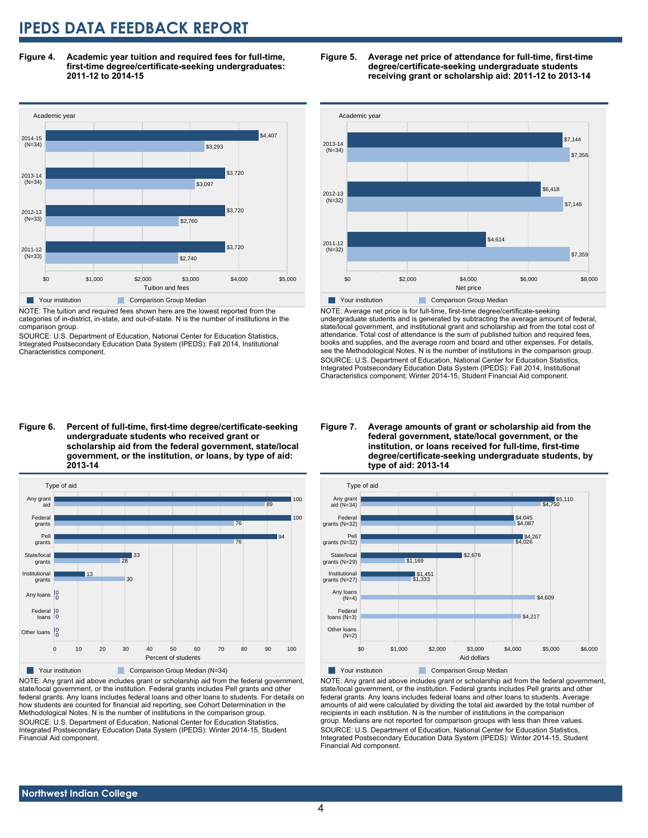**Figure 4. Academic year tuition and required fees for full-time, first-time degree/certificate-seeking undergraduates: 2011-12 to 2014-15**



NOTE: The tuition and required fees shown here are the lowest reported from the categories of in-district, in-state, and out-of-state. N is the number of institutions in the comparison group.

SOURCE: U.S. Department of Education, National Center for Education Statistics, Integrated Postsecondary Education Data System (IPEDS): Fall 2014, Institutional Characteristics component.





NOTE: Average net price is for full-time, first-time degree/certificate-seeking undergraduate students and is generated by subtracting the average amount of federal, state/local government, and institutional grant and scholarship aid from the total cost of attendance. Total cost of attendance is the sum of published tuition and required fees, books and supplies, and the average room and board and other expenses. For details, see the Methodological Notes. N is the number of institutions in the comparison group. SOURCE: U.S. Department of Education, National Center for Education Statistics, Integrated Postsecondary Education Data System (IPEDS): Fall 2014, Institutional Characteristics component; Winter 2014-15, Student Financial Aid component.

**Figure 6. Percent of full-time, first-time degree/certificate-seeking undergraduate students who received grant or scholarship aid from the federal government, state/local government, or the institution, or loans, by type of aid: 2013-14**



NOTE: Any grant aid above includes grant or scholarship aid from the federal government, state/local government, or the institution. Federal grants includes Pell grants and other federal grants. Any loans includes federal loans and other loans to students. For details on how students are counted for financial aid reporting, see Cohort Determination in the Methodological Notes. N is the number of institutions in the comparison group. SOURCE: U.S. Department of Education, National Center for Education Statistics, Integrated Postsecondary Education Data System (IPEDS): Winter 2014-15, Student Financial Aid component.

#### **Figure 7. Average amounts of grant or scholarship aid from the federal government, state/local government, or the institution, or loans received for full-time, first-time degree/certificate-seeking undergraduate students, by type of aid: 2013-14**



NOTE: Any grant aid above includes grant or scholarship aid from the federal government, state/local government, or the institution. Federal grants includes Pell grants and other federal grants. Any loans includes federal loans and other loans to students. Average amounts of aid were calculated by dividing the total aid awarded by the total number of recipients in each institution. N is the number of institutions in the comparison group. Medians are not reported for comparison groups with less than three values. SOURCE: U.S. Department of Education, National Center for Education Statistics, Integrated Postsecondary Education Data System (IPEDS): Winter 2014-15, Student Financial Aid component.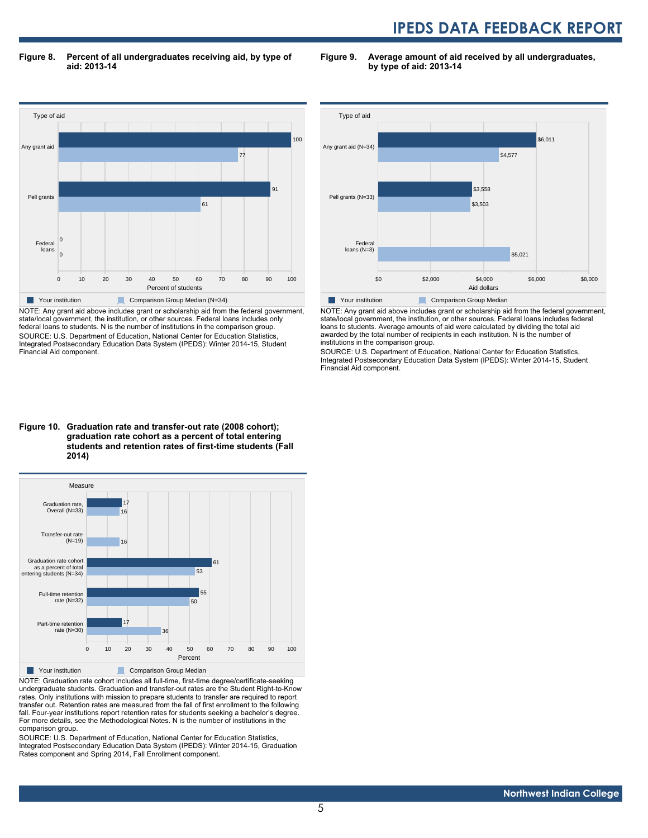**Figure 8. Percent of all undergraduates receiving aid, by type of aid: 2013-14**

**Figure 9. Average amount of aid received by all undergraduates, by type of aid: 2013-14**



NOTE: Any grant aid above includes grant or scholarship aid from the federal government, state/local government, the institution, or other sources. Federal loans includes only federal loans to students. N is the number of institutions in the comparison group. SOURCE: U.S. Department of Education, National Center for Education Statistics, Integrated Postsecondary Education Data System (IPEDS): Winter 2014-15, Student Financial Aid component.



NOTE: Any grant aid above includes grant or scholarship aid from the federal government, state/local government, the institution, or other sources. Federal loans includes federal loans to students. Average amounts of aid were calculated by dividing the total aid awarded by the total number of recipients in each institution. N is the number of institutions in the comparison group.

SOURCE: U.S. Department of Education, National Center for Education Statistics, Integrated Postsecondary Education Data System (IPEDS): Winter 2014-15, Student Financial Aid component.

### **Figure 10. Graduation rate and transfer-out rate (2008 cohort); graduation rate cohort as a percent of total entering students and retention rates of first-time students (Fall 2014)**



NOTE: Graduation rate cohort includes all full-time, first-time degree/certificate-seeking undergraduate students. Graduation and transfer-out rates are the Student Right-to-Know rates. Only institutions with mission to prepare students to transfer are required to report transfer out. Retention rates are measured from the fall of first enrollment to the following fall. Four-year institutions report retention rates for students seeking a bachelor's degree. For more details, see the Methodological Notes. N is the number of institutions in the comparison group.

SOURCE: U.S. Department of Education, National Center for Education Statistics, Integrated Postsecondary Education Data System (IPEDS): Winter 2014-15, Graduation Rates component and Spring 2014, Fall Enrollment component.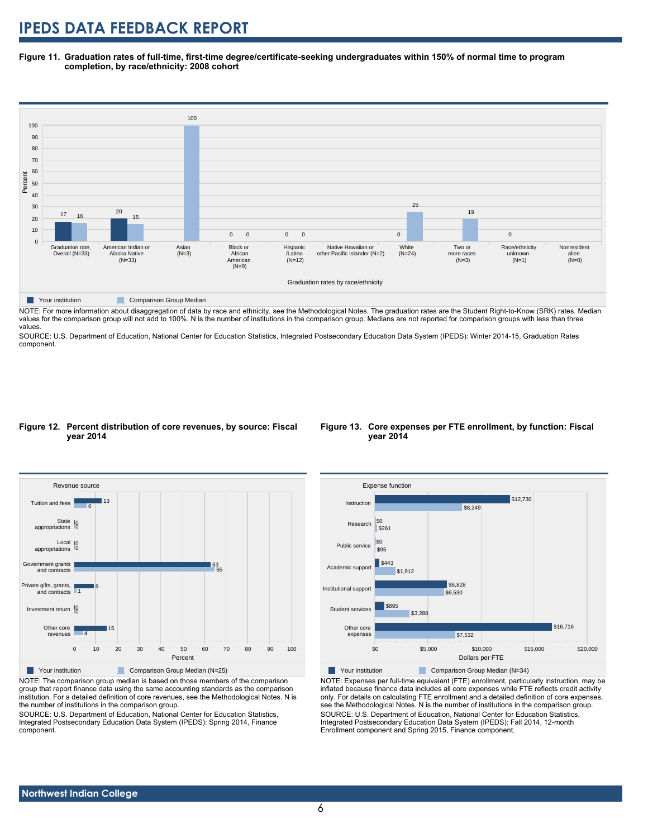**Figure 11. Graduation rates of full-time, first-time degree/certificate-seeking undergraduates within 150% of normal time to program completion, by race/ethnicity: 2008 cohort**



**Table Your institution Comparison Group Median** 

NOTE: For more information about disaggregation of data by race and ethnicity, see the Methodological Notes. The graduation rates are the Student Right-to-Know (SRK) rates. Median values for the comparison group will not add to 100%. N is the number of institutions in the comparison group. Medians are not reported for comparison groups with less than three values.

SOURCE: U.S. Department of Education, National Center for Education Statistics, Integrated Postsecondary Education Data System (IPEDS): Winter 2014-15, Graduation Rates component.

### **Figure 12. Percent distribution of core revenues, by source: Fiscal year 2014**



NOTE: The comparison group median is based on those members of the comparison group that report finance data using the same accounting standards as the comparison institution. For a detailed definition of core revenues, see the Methodological Notes. N is the number of institutions in the comparison group.

SOURCE: U.S. Department of Education, National Center for Education Statistics, Integrated Postsecondary Education Data System (IPEDS): Spring 2014, Finance component.

# **Figure 13. Core expenses per FTE enrollment, by function: Fiscal year 2014**



NOTE: Expenses per full-time equivalent (FTE) enrollment, particularly instruction, may be inflated because finance data includes all core expenses while FTE reflects credit activity only. For details on calculating FTE enrollment and a detailed definition of core expenses, see the Methodological Notes. N is the number of institutions in the comparison group. SOURCE: U.S. Department of Education, National Center for Education Statistics, Integrated Postsecondary Education Data System (IPEDS): Fall 2014, 12-month Enrollment component and Spring 2015, Finance component.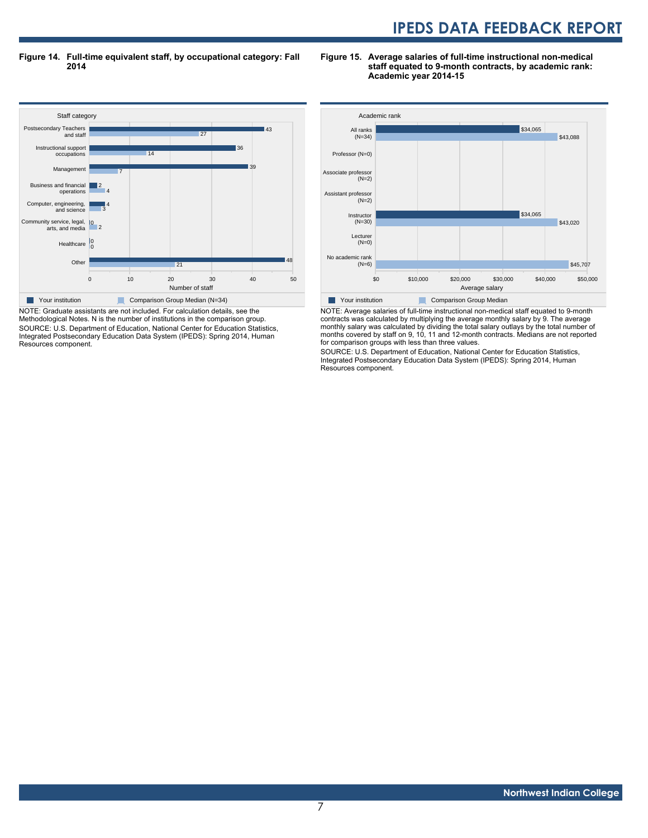**Figure 14. Full-time equivalent staff, by occupational category: Fall 2014**



NOTE: Graduate assistants are not included. For calculation details, see the Methodological Notes. N is the number of institutions in the comparison group. SOURCE: U.S. Department of Education, National Center for Education Statistics, Integrated Postsecondary Education Data System (IPEDS): Spring 2014, Human Resources component.

# **Figure 15. Average salaries of full-time instructional non-medical staff equated to 9-month contracts, by academic rank: Academic year 2014-15**



NOTE: Average salaries of full-time instructional non-medical staff equated to 9-month contracts was calculated by multiplying the average monthly salary by 9. The average monthly salary was calculated by dividing the total salary outlays by the total number of months covered by staff on 9, 10, 11 and 12-month contracts. Medians are not reported for comparison groups with less than three values.

SOURCE: U.S. Department of Education, National Center for Education Statistics, Integrated Postsecondary Education Data System (IPEDS): Spring 2014, Human Resources component.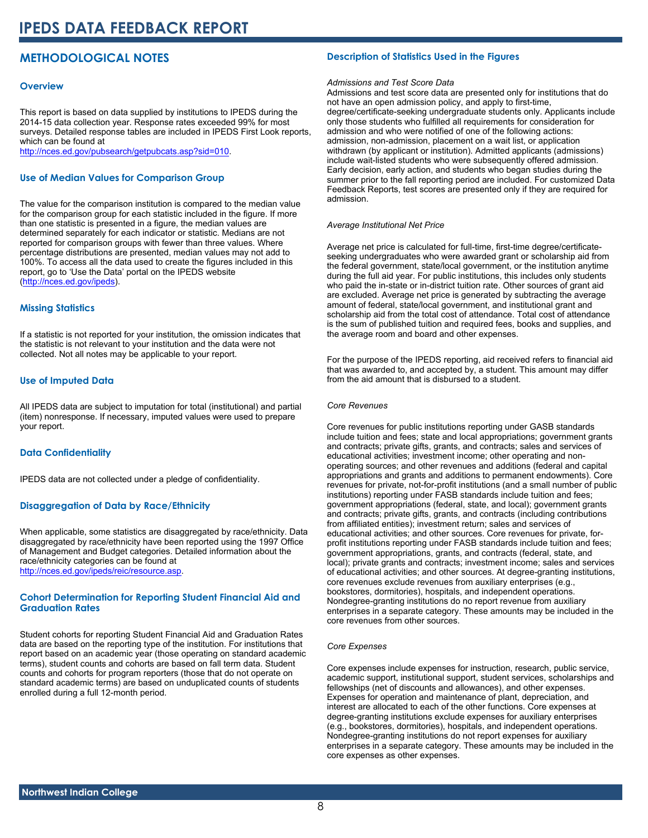# **METHODOLOGICAL NOTES**

# **Overview**

This report is based on data supplied by institutions to IPEDS during the 2014-15 data collection year. Response rates exceeded 99% for most surveys. Detailed response tables are included in IPEDS First Look reports, which can be found at [http://nces.ed.gov/pubsearch/getpubcats.asp?sid=010.](http://nces.ed.gov/pubsearch/getpubcats.asp?sid=010)

# **Use of Median Values for Comparison Group**

The value for the comparison institution is compared to the median value for the comparison group for each statistic included in the figure. If more than one statistic is presented in a figure, the median values are determined separately for each indicator or statistic. Medians are not reported for comparison groups with fewer than three values. Where percentage distributions are presented, median values may not add to 100%. To access all the data used to create the figures included in this report, go to 'Use the Data' portal on the IPEDS website ([http://nces.ed.gov/ipeds\)](http://nces.ed.gov/ipeds).

# **Missing Statistics**

If a statistic is not reported for your institution, the omission indicates that the statistic is not relevant to your institution and the data were not collected. Not all notes may be applicable to your report.

# **Use of Imputed Data**

All IPEDS data are subject to imputation for total (institutional) and partial (item) nonresponse. If necessary, imputed values were used to prepare your report.

# **Data Confidentiality**

IPEDS data are not collected under a pledge of confidentiality.

# **Disaggregation of Data by Race/Ethnicity**

When applicable, some statistics are disaggregated by race/ethnicity. Data disaggregated by race/ethnicity have been reported using the 1997 Office of Management and Budget categories. Detailed information about the race/ethnicity categories can be found at <http://nces.ed.gov/ipeds/reic/resource.asp>.

# **Cohort Determination for Reporting Student Financial Aid and Graduation Rates**

Student cohorts for reporting Student Financial Aid and Graduation Rates data are based on the reporting type of the institution. For institutions that report based on an academic year (those operating on standard academic terms), student counts and cohorts are based on fall term data. Student counts and cohorts for program reporters (those that do not operate on standard academic terms) are based on unduplicated counts of students enrolled during a full 12-month period.

# **Description of Statistics Used in the Figures**

# *Admissions and Test Score Data*

Admissions and test score data are presented only for institutions that do not have an open admission policy, and apply to first-time, degree/certificate-seeking undergraduate students only. Applicants include only those students who fulfilled all requirements for consideration for admission and who were notified of one of the following actions: admission, non-admission, placement on a wait list, or application withdrawn (by applicant or institution). Admitted applicants (admissions) include wait-listed students who were subsequently offered admission. Early decision, early action, and students who began studies during the summer prior to the fall reporting period are included. For customized Data Feedback Reports, test scores are presented only if they are required for admission.

#### *Average Institutional Net Price*

Average net price is calculated for full-time, first-time degree/certificateseeking undergraduates who were awarded grant or scholarship aid from the federal government, state/local government, or the institution anytime during the full aid year. For public institutions, this includes only students who paid the in-state or in-district tuition rate. Other sources of grant aid are excluded. Average net price is generated by subtracting the average amount of federal, state/local government, and institutional grant and scholarship aid from the total cost of attendance. Total cost of attendance is the sum of published tuition and required fees, books and supplies, and the average room and board and other expenses.

For the purpose of the IPEDS reporting, aid received refers to financial aid that was awarded to, and accepted by, a student. This amount may differ from the aid amount that is disbursed to a student.

#### *Core Revenues*

Core revenues for public institutions reporting under GASB standards include tuition and fees; state and local appropriations; government grants and contracts; private gifts, grants, and contracts; sales and services of educational activities; investment income; other operating and nonoperating sources; and other revenues and additions (federal and capital appropriations and grants and additions to permanent endowments). Core revenues for private, not-for-profit institutions (and a small number of public institutions) reporting under FASB standards include tuition and fees; government appropriations (federal, state, and local); government grants and contracts; private gifts, grants, and contracts (including contributions from affiliated entities); investment return; sales and services of educational activities; and other sources. Core revenues for private, forprofit institutions reporting under FASB standards include tuition and fees; government appropriations, grants, and contracts (federal, state, and local); private grants and contracts; investment income; sales and services of educational activities; and other sources. At degree-granting institutions, core revenues exclude revenues from auxiliary enterprises (e.g., bookstores, dormitories), hospitals, and independent operations. Nondegree-granting institutions do no report revenue from auxiliary enterprises in a separate category. These amounts may be included in the core revenues from other sources.

#### *Core Expenses*

Core expenses include expenses for instruction, research, public service, academic support, institutional support, student services, scholarships and fellowships (net of discounts and allowances), and other expenses. Expenses for operation and maintenance of plant, depreciation, and interest are allocated to each of the other functions. Core expenses at degree-granting institutions exclude expenses for auxiliary enterprises (e.g., bookstores, dormitories), hospitals, and independent operations. Nondegree-granting institutions do not report expenses for auxiliary enterprises in a separate category. These amounts may be included in the core expenses as other expenses.